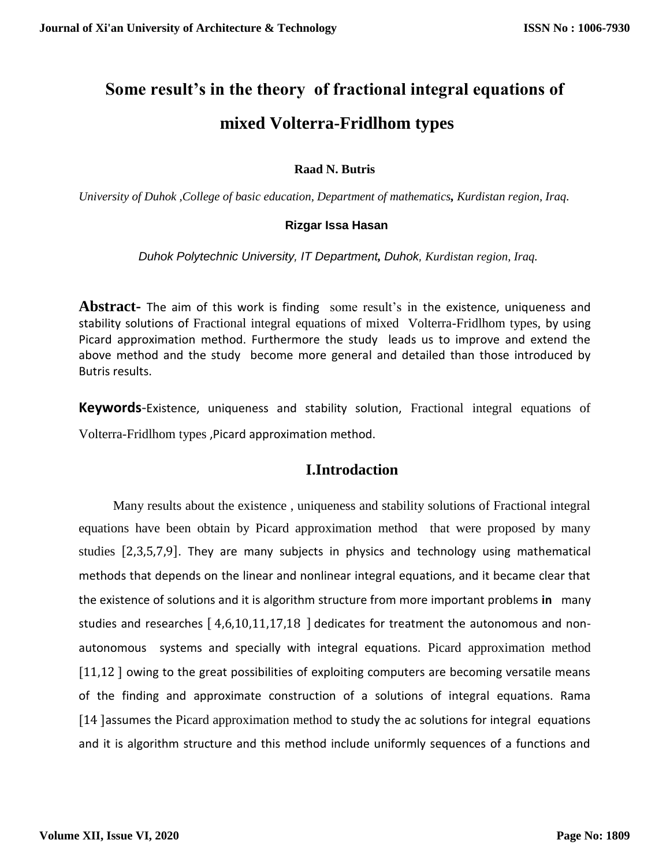# **Some result's in the theory of fractional integral equations of mixed Volterra-Fridlhom types**

# **Raad N. Butris**

*University of Duhok ,College of basic education, Department of mathematics, Kurdistan region, Iraq.*

## **Rizgar Issa Hasan**

 *Duhok Polytechnic University, IT Department, Duhok, Kurdistan region, Iraq.*

**Abstract-** The aim of this work is finding some result's in the existence, uniqueness and stability solutions of Fractional integral equations of mixed Volterra-Fridlhom types, by using Picard approximation method. Furthermore the study leads us to improve and extend the above method and the study become more general and detailed than those introduced by Butris results.

**Keywords**-Existence, uniqueness and stability solution, Fractional integral equations of Volterra-Fridlhom types ,Picard approximation method.

# **I.Introdaction**

 Many results about the existence , uniqueness and stability solutions of Fractional integral equations have been obtain by Picard approximation method that were proposed by many studies [2,3,5,7,9]. They are many subjects in physics and technology using mathematical methods that depends on the linear and nonlinear integral equations, and it became clear that the existence of solutions and it is algorithm structure from more important problems **in** many studies and researches  $\left[ 4,6,10,11,17,18\ \right]$  dedicates for treatment the autonomous and nonautonomous systems and specially with integral equations. Picard approximation method [11,12 ] owing to the great possibilities of exploiting computers are becoming versatile means of the finding and approximate construction of a solutions of integral equations. Rama [14 ]assumes the Picard approximation method to study the ac solutions for integral equations and it is algorithm structure and this method include uniformly sequences of a functions and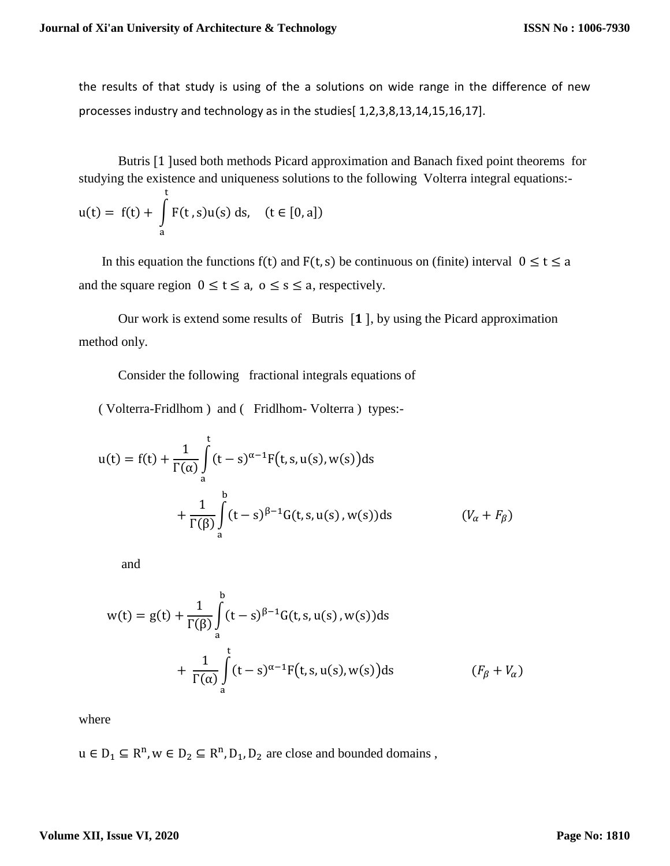the results of that study is using of the a solutions on wide range in the difference of new processes industry and technology as in the studies[ 1,2,3,8,13,14,15,16,17].

 Butris [1 ]used both methods Picard approximation and Banach fixed point theorems for studying the existence and uniqueness solutions to the following Volterra integral equations:-

$$
u(t) = f(t) + \int_{a}^{t} F(t,s)u(s) \, ds, \quad (t \in [0,a])
$$

In this equation the functions f(t) and  $F(t, s)$  be continuous on (finite) interval  $0 \le t \le a$ and the square region  $0 \le t \le a$ ,  $0 \le s \le a$ , respectively.

Our work is extend some results of Butris  $[1]$ , by using the Picard approximation method only.

Consider the following fractional integrals equations of

( Volterra-Fridlhom ) and ( Fridlhom- Volterra ) types:-

$$
u(t) = f(t) + \frac{1}{\Gamma(\alpha)} \int_{a}^{t} (t - s)^{\alpha - 1} F(t, s, u(s), w(s)) ds
$$
  
+ 
$$
\frac{1}{\Gamma(\beta)} \int_{a}^{b} (t - s)^{\beta - 1} G(t, s, u(s), w(s)) ds \qquad (V_{\alpha} + F_{\beta})
$$

and

$$
w(t) = g(t) + \frac{1}{\Gamma(\beta)} \int_{a}^{b} (t - s)^{\beta - 1} G(t, s, u(s), w(s)) ds
$$
  
+ 
$$
\frac{1}{\Gamma(\alpha)} \int_{a}^{t} (t - s)^{\alpha - 1} F(t, s, u(s), w(s)) ds
$$
 (*F<sub>\beta</sub>* + *V<sub>\alpha</sub>*)

where

 $u \in D_1 \subseteq R^n$ ,  $w \in D_2 \subseteq R^n$ ,  $D_1$ ,  $D_2$  are close and bounded domains,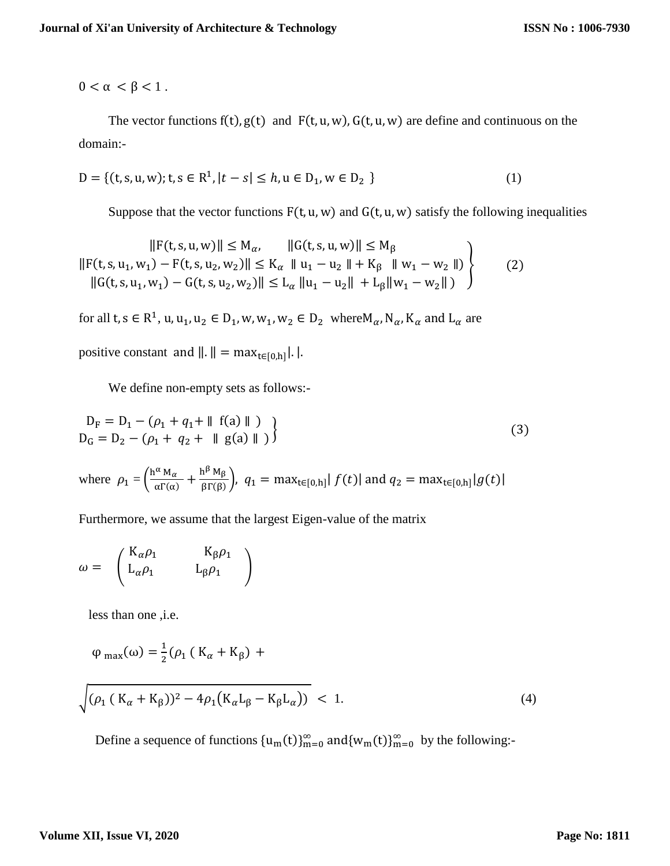$0 < \alpha < \beta < 1$ .

The vector functions  $f(t)$ ,  $g(t)$  and  $F(t, u, w)$ ,  $G(t, u, w)$  are define and continuous on the domain:-

$$
D = \{ (t, s, u, w); t, s \in \mathbb{R}^1, |t - s| \le h, u \in D_1, w \in D_2 \}
$$
 (1)

Suppose that the vector functions  $F(t, u, w)$  and  $G(t, u, w)$  satisfy the following inequalities

$$
||F(t, s, u, w)|| \le M_{\alpha}, \qquad ||G(t, s, u, w)|| \le M_{\beta}
$$
  
\n
$$
||F(t, s, u_1, w_1) - F(t, s, u_2, w_2)|| \le K_{\alpha} ||u_1 - u_2|| + K_{\beta} ||w_1 - w_2||
$$
  
\n
$$
||G(t, s, u_1, w_1) - G(t, s, u_2, w_2)|| \le L_{\alpha} ||u_1 - u_2|| + L_{\beta} ||w_1 - w_2|| )
$$
\n(2)

for all t,  $s \in R^1$ , u, u<sub>1</sub>, u<sub>2</sub>  $\in D_1$ , w, w<sub>1</sub>, w<sub>2</sub>  $\in D_2$  where M<sub>a</sub>, N<sub>a</sub>, K<sub>a</sub> and L<sub>a</sub> are

positive constant and  $\|\cdot\| = \max_{t \in [0,h]} |\cdot|.$ 

We define non-empty sets as follows:-

$$
D_{F} = D_{1} - (\rho_{1} + q_{1} + || f(a) || )
$$
  
\n
$$
D_{G} = D_{2} - (\rho_{1} + q_{2} + || g(a) || )
$$
\n(3)

where  $\rho_1 = \left(\frac{h^{\alpha} M_{\alpha}}{\alpha \Gamma(\alpha)}\right)$  $\frac{\alpha_{\alpha} M_{\alpha}}{\alpha \Gamma(\alpha)} + \frac{h^{\beta} M_{\beta}}{\beta \Gamma(\beta)}$  $\int \frac{F(x, B)}{\beta \Gamma(\beta)}$ ,  $q_1 = \max_{t \in [0, h]} |f(t)|$  and  $q_2 = \max_{t \in [0, h]} |g(t)|$ 

Furthermore, we assume that the largest Eigen-value of the matrix

$$
\omega = \begin{pmatrix} K_{\alpha}\rho_1 & K_{\beta}\rho_1 \\ L_{\alpha}\rho_1 & L_{\beta}\rho_1 \end{pmatrix}
$$

less than one ,i.e.

$$
\varphi_{\text{max}}(\omega) = \frac{1}{2} (\rho_1 (K_\alpha + K_\beta) +
$$

$$
\sqrt{(\rho_1 (K_\alpha + K_\beta))^2 - 4\rho_1 (K_\alpha L_\beta - K_\beta L_\alpha))} < 1.
$$
\n(4)

Define a sequence of functions  ${u_m(t)}_{m=0}^{\infty}$  and  ${w_m(t)}_{m=0}^{\infty}$  by the following:-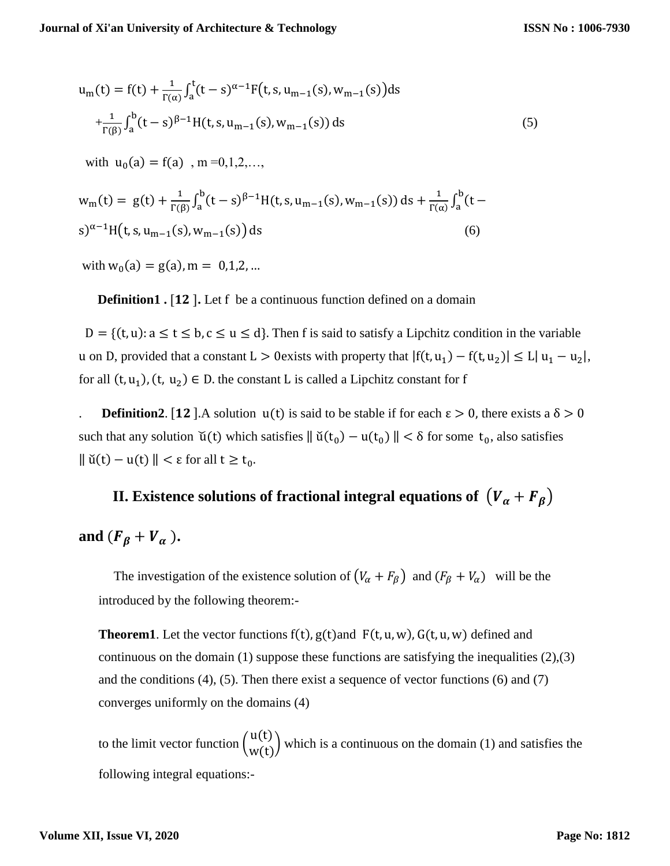$$
u_{m}(t) = f(t) + \frac{1}{r(\alpha)} \int_{a}^{t} (t - s)^{\alpha - 1} F(t, s, u_{m-1}(s), w_{m-1}(s)) ds
$$
  
+ 
$$
\frac{1}{r(\beta)} \int_{a}^{b} (t - s)^{\beta - 1} H(t, s, u_{m-1}(s), w_{m-1}(s)) ds
$$
  
with  $u_{0}(a) = f(a)$ ,  $m = 0, 1, 2, ...$ ,  

$$
w_{m}(t) = g(t) + \frac{1}{r(\beta)} \int_{a}^{b} (t - s)^{\beta - 1} H(t, s, u_{m-1}(s), w_{m-1}(s)) ds + \frac{1}{r(\alpha)} \int_{a}^{b} (t - s)^{\alpha - 1} H(t, s, u_{m-1}(s), w_{m-1}(s)) ds
$$
  
(6)

with  $w_0(a) = g(a)$ ,  $m = 0, 1, 2, ...$ 

**Definition1 .** [12]. Let f be a continuous function defined on a domain

 $D = \{(t, u): a \le t \le b, c \le u \le d\}$ . Then f is said to satisfy a Lipchitz condition in the variable u on D, provided that a constant  $L > 0$  exists with property that  $|f(t, u_1) - f(t, u_2)| \le L |u_1 - u_2|$ , for all  $(t, u_1)$ ,  $(t, u_2) \in D$ . the constant L is called a Lipchitz constant for f

**Definition2.** [12]. A solution  $u(t)$  is said to be stable if for each  $\epsilon > 0$ , there exists a  $\delta > 0$ such that any solution  $\check{u}(t)$  which satisfies  $\|\check{u}(t_0) - u(t_0)\| < \delta$  for some  $t_0$ , also satisfies  $\parallel$  ŭ(t) – u(t)  $\parallel$  <  $\varepsilon$  for all t  $\geq$  t<sub>0</sub>.

# **II.** Existence solutions of fractional integral equations of  $(V_\alpha + F_\beta)$

and  $(F_{\beta} + V_{\alpha})$ .

The investigation of the existence solution of  $(V_\alpha + F_\beta)$  and  $(F_\beta + V_\alpha)$  will be the introduced by the following theorem:-

**Theorem1**. Let the vector functions  $f(t)$ ,  $g(t)$  and  $F(t, u, w)$ ,  $G(t, u, w)$  defined and continuous on the domain (1) suppose these functions are satisfying the inequalities (2),(3) and the conditions  $(4)$ ,  $(5)$ . Then there exist a sequence of vector functions  $(6)$  and  $(7)$ converges uniformly on the domains (4)

to the limit vector function  $\begin{pmatrix} u(t) \\ u(t) \end{pmatrix}$  $w(t)$  which is a continuous on the domain (1) and satisfies the following integral equations:-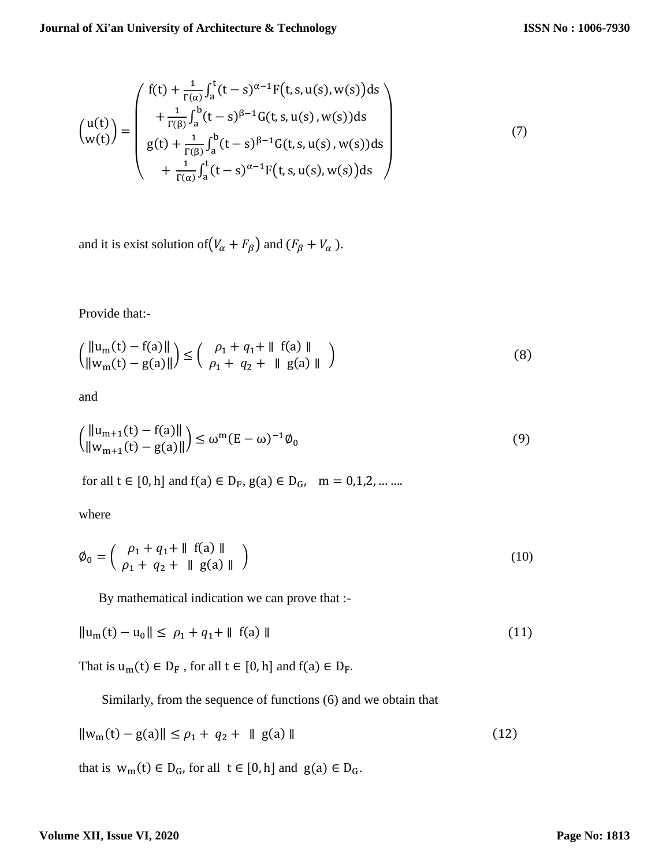$$
\begin{pmatrix} u(t) \\ w(t) \end{pmatrix} = \begin{pmatrix} f(t) + \frac{1}{\Gamma(\alpha)} \int_{a}^{t} (t-s)^{\alpha-1} F(t, s, u(s), w(s)) ds \\ + \frac{1}{\Gamma(\beta)} \int_{a}^{b} (t-s)^{\beta-1} G(t, s, u(s), w(s)) ds \\ g(t) + \frac{1}{\Gamma(\beta)} \int_{a}^{b} (t-s)^{\beta-1} G(t, s, u(s), w(s)) ds \\ + \frac{1}{\Gamma(\alpha)} \int_{a}^{t} (t-s)^{\alpha-1} F(t, s, u(s), w(s)) ds \end{pmatrix}
$$
(7)

and it is exist solution of  $(V_{\alpha} + F_{\beta})$  and  $(F_{\beta} + V_{\alpha})$ .

Provide that:-

$$
\left(\frac{\|u_m(t) - f(a)\|}{\|w_m(t) - g(a)\|}\right) \le \left(\begin{array}{cc} \rho_1 + q_1 + \|f(a)\| \\ \rho_1 + q_2 + \|g(a)\| \end{array}\right) \tag{8}
$$

and

$$
\left(\frac{\|u_{m+1}(t) - f(a)\|}{\|w_{m+1}(t) - g(a)\|}\right) \le \omega^m (E - \omega)^{-1} \phi_0
$$
\n(9)

for all  $t \in [0, h]$  and  $f(a) \in D_F$ ,  $g(a) \in D_G$ ,  $m = 0, 1, 2, \dots$ ...

where

$$
\emptyset_0 = \left( \begin{array}{c} \rho_1 + q_1 + || & f(a) || \\ \rho_1 + q_2 + || & g(a) || \end{array} \right) \tag{10}
$$

By mathematical indication we can prove that :-

$$
||u_m(t) - u_0|| \le \rho_1 + q_1 + ||f(a)|| \tag{11}
$$

That is  $\mathbf{u}_\mathrm{m}(\mathbf{t}) \in \mathbf{D}_\mathrm{F}$  , for all  $\mathbf{t} \in [0,\mathbf{h}]$  and  $\mathbf{f}(\mathbf{a}) \in \mathbf{D}_\mathrm{F}.$ 

Similarly, from the sequence of functions (6) and we obtain that

$$
||w_m(t) - g(a)|| \le \rho_1 + q_2 + ||g(a)|| \tag{12}
$$

that is  $w_m(t) \in D_G$ , for all  $t \in [0, h]$  and  $g(a) \in D_G$ .

#### **Volume XII, Issue VI, 2020**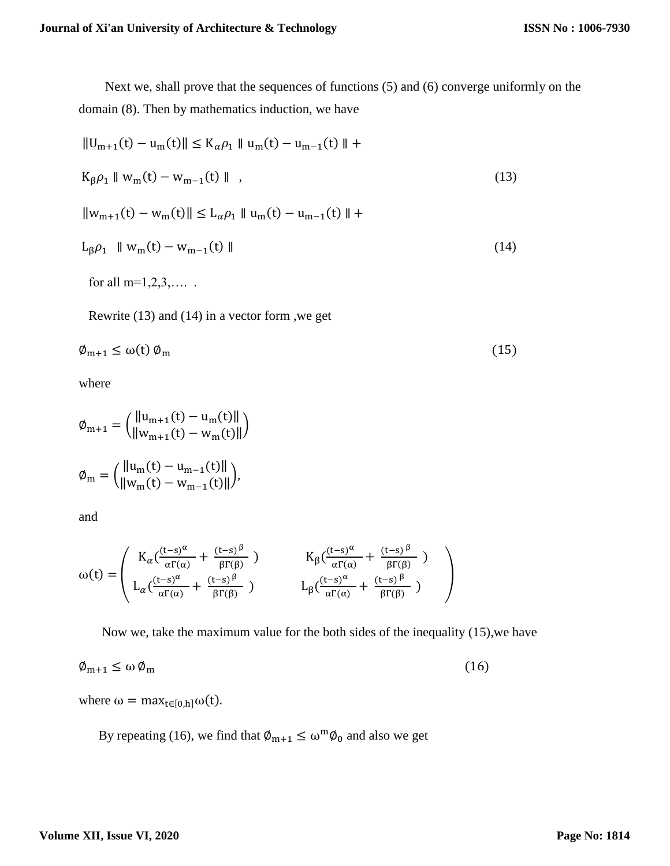Next we, shall prove that the sequences of functions (5) and (6) converge uniformly on the domain (8). Then by mathematics induction, we have

$$
||U_{m+1}(t) - u_m(t)|| \le K_{\alpha}\rho_1 || u_m(t) - u_{m-1}(t) || +
$$
  
\n
$$
K_{\beta}\rho_1 || w_m(t) - w_{m-1}(t) ||,
$$
  
\n
$$
||w_{m+1}(t) - w_m(t)|| \le L_{\alpha}\rho_1 || u_m(t) - u_{m-1}(t) || +
$$
  
\n
$$
L_{\beta}\rho_1 || w_m(t) - w_{m-1}(t) ||
$$
\n(14)  
\nfor all m=1,2,3,...

Rewrite (13) and (14) in a vector form ,we get

$$
\varphi_{m+1} \le \omega(t) \, \varphi_m \tag{15}
$$

where

$$
\emptyset_{m+1} = \left( \frac{\|u_{m+1}(t) - u_m(t)\|}{\|w_{m+1}(t) - w_m(t)\|} \right)
$$

$$
\emptyset_m = \left( \frac{\|u_m(t) - u_{m-1}(t)\|}{\|w_m(t) - w_{m-1}(t)\|} \right),
$$

and

$$
\omega(t) = \left(\begin{array}{cc} K_{\alpha}(\frac{(t-s)^{\alpha}}{\alpha\Gamma(\alpha)} + \frac{(t-s)^{\beta}}{\beta\Gamma(\beta)}) & K_{\beta}(\frac{(t-s)^{\alpha}}{\alpha\Gamma(\alpha)} + \frac{(t-s)^{\beta}}{\beta\Gamma(\beta)}) \\ L_{\alpha}(\frac{(t-s)^{\alpha}}{\alpha\Gamma(\alpha)} + \frac{(t-s)^{\beta}}{\beta\Gamma(\beta)}) & L_{\beta}(\frac{(t-s)^{\alpha}}{\alpha\Gamma(\alpha)} + \frac{(t-s)^{\beta}}{\beta\Gamma(\beta)}) \end{array}\right)
$$

Now we, take the maximum value for the both sides of the inequality (15),we have

$$
\varphi_{m+1} \le \omega \, \varphi_m \tag{16}
$$

where  $\omega = \max_{t \in [0,h]} \omega(t)$ .

By repeating (16), we find that  $\phi_{m+1} \leq \omega^m \phi_0$  and also we get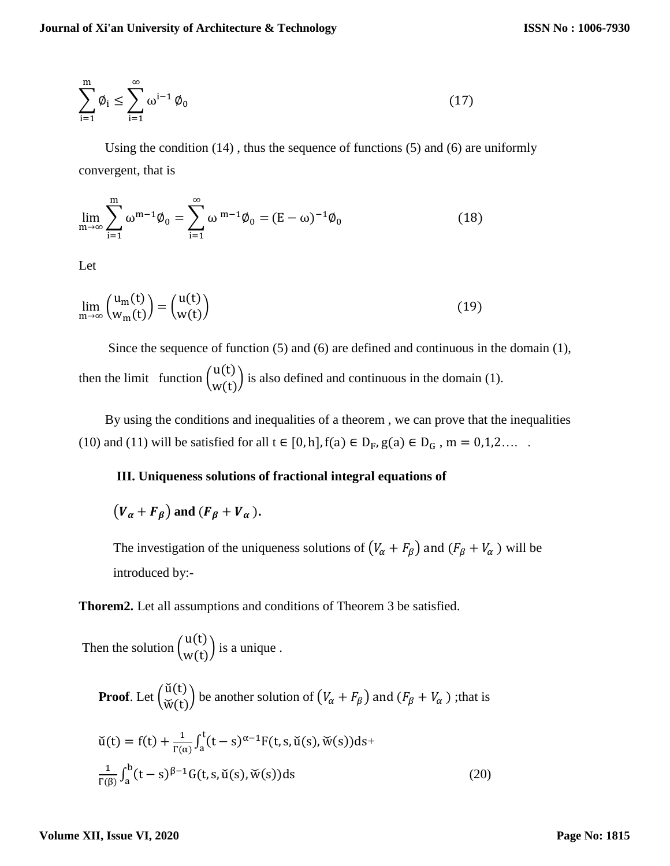$$
\sum_{i=1}^{m} \phi_i \le \sum_{i=1}^{\infty} \omega^{i-1} \phi_0 \tag{17}
$$

Using the condition  $(14)$ , thus the sequence of functions  $(5)$  and  $(6)$  are uniformly convergent, that is

$$
\lim_{m \to \infty} \sum_{i=1}^{m} \omega^{m-1} \phi_0 = \sum_{i=1}^{\infty} \omega^{m-1} \phi_0 = (E - \omega)^{-1} \phi_0
$$
\n(18)

Let

$$
\lim_{m \to \infty} {u_m(t) \choose w_m(t)} = {u(t) \choose w(t)} \tag{19}
$$

 Since the sequence of function (5) and (6) are defined and continuous in the domain (1), then the limit function  $\begin{pmatrix} u(t) \\ u(t) \end{pmatrix}$  $\begin{pmatrix} u(t) \\ w(t) \end{pmatrix}$  is also defined and continuous in the domain (1).

 By using the conditions and inequalities of a theorem , we can prove that the inequalities (10) and (11) will be satisfied for all  $t \in [0, h]$ ,  $f(a) \in D_F$ ,  $g(a) \in D_G$ ,  $m = 0, 1, 2, \ldots$ .

## **III. Uniqueness solutions of fractional integral equations of**

 $(V_{\alpha} + F_{\beta})$  and  $(F_{\beta} + V_{\alpha})$ .

The investigation of the uniqueness solutions of  $(V_{\alpha} + F_{\beta})$  and  $(F_{\beta} + V_{\alpha})$  will be introduced by:-

**Thorem2.** Let all assumptions and conditions of Theorem 3 be satisfied.

Then the solution  $\begin{pmatrix} u(t) \\ u(t) \end{pmatrix}$  $\begin{pmatrix} u(t) \\ w(t) \end{pmatrix}$  is a unique.

**Proof.** Let 
$$
\begin{pmatrix} \check{u}(t) \\ \check{w}(t) \end{pmatrix}
$$
 be another solution of  $(V_{\alpha} + F_{\beta})$  and  $(F_{\beta} + V_{\alpha})$ ; that is  
\n
$$
\check{u}(t) = f(t) + \frac{1}{\Gamma(\alpha)} \int_a^t (t - s)^{\alpha - 1} F(t, s, \check{u}(s), \check{w}(s)) ds + \frac{1}{\Gamma(\beta)} \int_a^b (t - s)^{\beta - 1} G(t, s, \check{u}(s), \check{w}(s)) ds
$$
\n(20)

#### **Volume XII, Issue VI, 2020**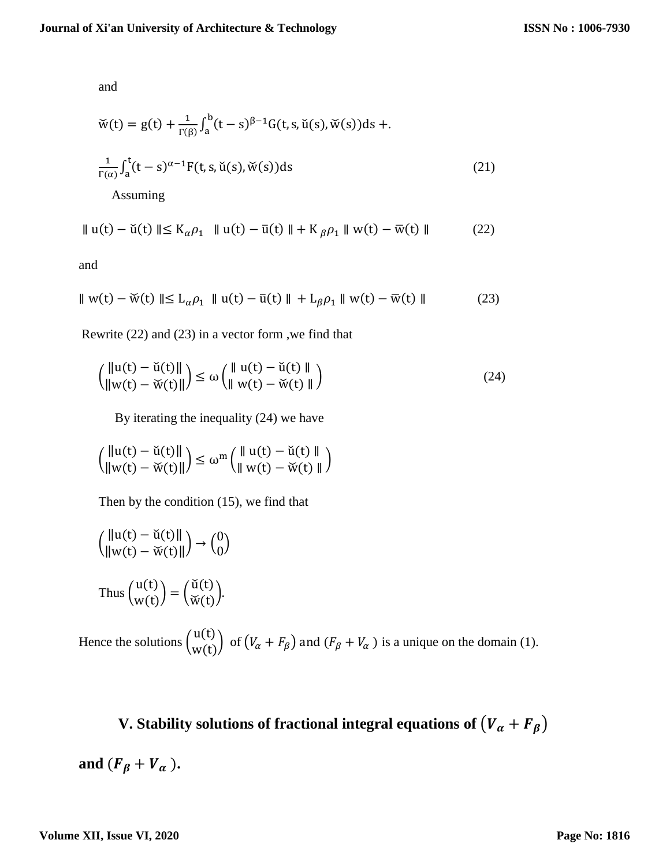and

$$
\check{w}(t) = g(t) + \frac{1}{\Gamma(\beta)} \int_a^b (t - s)^{\beta - 1} G(t, s, \check{u}(s), \check{w}(s)) ds +.
$$
  

$$
\frac{1}{\Gamma(\alpha)} \int_a^t (t - s)^{\alpha - 1} F(t, s, \check{u}(s), \check{w}(s)) ds
$$
(21)

Assuming

$$
\| \mathbf{u}(t) - \check{\mathbf{u}}(t) \| \le \mathbf{K}_{\alpha} \rho_1 \quad \| \mathbf{u}(t) - \bar{\mathbf{u}}(t) \| + \mathbf{K}_{\beta} \rho_1 \| \mathbf{w}(t) - \bar{\mathbf{w}}(t) \| \tag{22}
$$

and

$$
\|w(t) - \check{w}(t)\| \le L_{\alpha}\rho_1 \|u(t) - \bar{u}(t)\| + L_{\beta}\rho_1 \|w(t) - \bar{w}(t)\| \tag{23}
$$

Rewrite (22) and (23) in a vector form ,we find that

$$
\begin{pmatrix} \|\mathbf{u}(t) - \check{\mathbf{u}}(t)\| \\ \|\mathbf{w}(t) - \check{\mathbf{w}}(t)\| \end{pmatrix} \le \omega \begin{pmatrix} \|\mathbf{u}(t) - \check{\mathbf{u}}(t)\| \\ \|\mathbf{w}(t) - \check{\mathbf{w}}(t)\| \end{pmatrix}
$$
(24)

By iterating the inequality (24) we have

$$
\left(\frac{\|u(t)-\check{u}(t)\|}{\|w(t)-\check{w}(t)\|}\right)\leq \omega^m \left(\frac{\|u(t)-\check{u}(t)\|}{\|w(t)-\check{w}(t)\|}\right)
$$

Then by the condition (15), we find that

$$
\left(\begin{array}{c} \|\mathbf{u}(t) - \check{\mathbf{u}}(t)\| \\ \|w(t) - \check{w}(t)\| \end{array}\right) \to \begin{pmatrix} 0 \\ 0 \end{pmatrix}
$$
  
Thus 
$$
\begin{pmatrix} \mathbf{u}(t) \\ w(t) \end{pmatrix} = \begin{pmatrix} \check{\mathbf{u}}(t) \\ \check{w}(t) \end{pmatrix}.
$$

Hence the solutions  $\begin{pmatrix} u(t) \\ u(t) \end{pmatrix}$  $\begin{pmatrix} u(t) \\ w(t) \end{pmatrix}$  of  $(V_\alpha + F_\beta)$  and  $(F_\beta + V_\alpha)$  is a unique on the domain (1).

**V.** Stability solutions of fractional integral equations of  $(V_\alpha + F_\beta)$ and  $(F_\beta + V_\alpha)$ .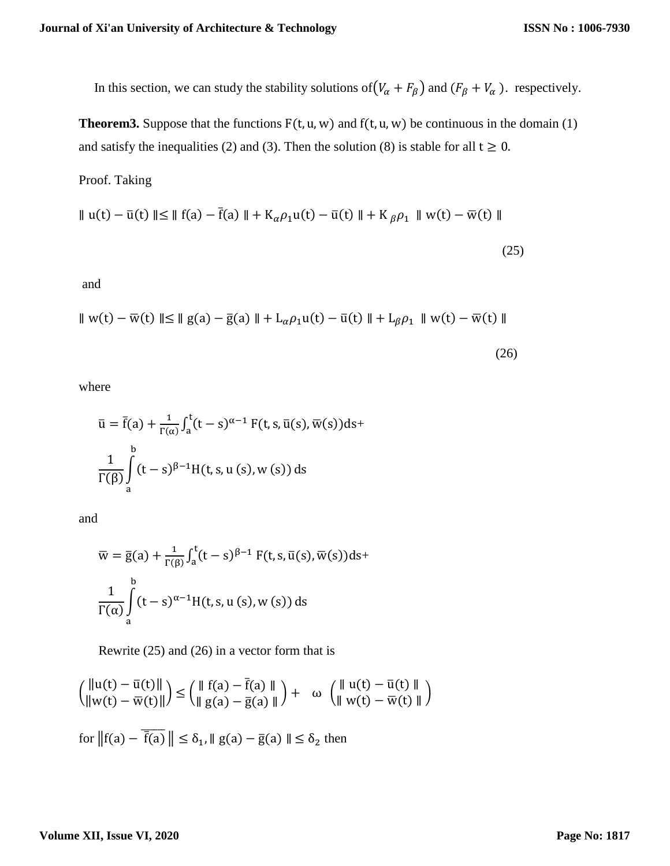In this section, we can study the stability solutions of  $(V_\alpha + F_\beta)$  and  $(F_\beta + V_\alpha)$ . respectively.

**Theorem3.** Suppose that the functions  $F(t, u, w)$  and  $f(t, u, w)$  be continuous in the domain (1) and satisfy the inequalities (2) and (3). Then the solution (8) is stable for all  $t \ge 0$ .

Proof. Taking

$$
\| u(t) - \bar{u}(t) \| \le \| f(a) - \bar{f}(a) \| + K_{\alpha} \rho_1 u(t) - \bar{u}(t) \| + K_{\beta} \rho_1 \| w(t) - \bar{w}(t) \|
$$
\n(25)

and

$$
\| w(t) - \overline{w}(t) \| \le \| g(a) - \overline{g}(a) \| + L_{\alpha} \rho_1 u(t) - \overline{u}(t) \| + L_{\beta} \rho_1 \| w(t) - \overline{w}(t) \|
$$
\n(26)

where

$$
\bar{u} = \bar{f}(a) + \frac{1}{\Gamma(\alpha)} \int_a^t (t - s)^{\alpha - 1} F(t, s, \bar{u}(s), \bar{w}(s)) ds +
$$
  

$$
\frac{1}{\Gamma(\beta)} \int_a^b (t - s)^{\beta - 1} H(t, s, u(s), w(s)) ds
$$

and

$$
\overline{w} = \overline{g}(a) + \frac{1}{\Gamma(\beta)} \int_a^t (t - s)^{\beta - 1} F(t, s, \overline{u}(s), \overline{w}(s)) ds +
$$
  

$$
\frac{1}{\Gamma(\alpha)} \int_a^b (t - s)^{\alpha - 1} H(t, s, u(s), w(s)) ds
$$

Rewrite (25) and (26) in a vector form that is

$$
\left(\frac{\|u(t) - \bar{u}(t)\|}{\|w(t) - \bar{w}(t)\|}\right) \le \left(\frac{\|f(a) - \bar{f}(a)\|}{\|g(a) - \bar{g}(a)\|}\right) + \omega \left(\frac{\|u(t) - \bar{u}(t)\|}{\|w(t) - \bar{w}(t)\|}\right)
$$
  
for  $\|f(a) - \overline{f(a)}\| \le \delta_1$ ,  $\|g(a) - \bar{g}(a)\| \le \delta_2$  then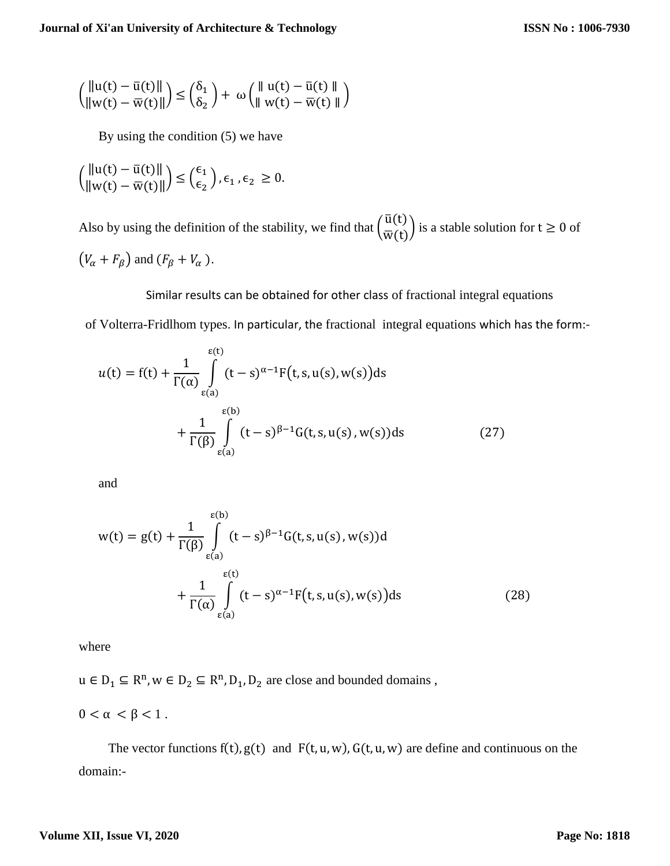$$
\binom{\|u(t)-\bar{u}(t)\|}{\|w(t)-\bar{w}(t)\|} \le \binom{\delta_1}{\delta_2} + \omega \binom{\|u(t)-\bar{u}(t)\|}{\|w(t)-\bar{w}(t)\|}
$$

By using the condition (5) we have

$$
\left(\frac{\|u(t) - \bar{u}(t)\|}{\|w(t) - \bar{w}(t)\|}\right) \leq {\epsilon_1 \choose \epsilon_2}, \epsilon_1, \epsilon_2 \geq 0.
$$

Also by using the definition of the stability, we find that  $\left(\frac{\bar{u}(t)}{\bar{u}(t)}\right)$  $\frac{\alpha(t)}{\overline{w}(t)}$  is a stable solution for  $t \ge 0$  of  $(V_{\alpha} + F_{\beta})$  and  $(F_{\beta} + V_{\alpha})$ .

 Similar results can be obtained for other class of fractional integral equations of Volterra-Fridlhom types. In particular, the fractional integral equations which has the form:-

$$
u(t) = f(t) + \frac{1}{\Gamma(\alpha)} \int_{\varepsilon(a)}^{\varepsilon(t)} (t - s)^{\alpha - 1} F(t, s, u(s), w(s)) ds
$$
  
+ 
$$
\frac{1}{\Gamma(\beta)} \int_{\varepsilon(a)}^{\varepsilon(b)} (t - s)^{\beta - 1} G(t, s, u(s), w(s)) ds
$$
 (27)

and

$$
w(t) = g(t) + \frac{1}{\Gamma(\beta)} \int_{\varepsilon(a)}^{\varepsilon(b)} (t-s)^{\beta-1} G(t, s, u(s), w(s)) d
$$
  
+ 
$$
\frac{1}{\Gamma(\alpha)} \int_{\varepsilon(a)}^{\varepsilon(t)} (t-s)^{\alpha-1} F(t, s, u(s), w(s)) ds
$$
(28)

where

 $u \in D_1 \subseteq R^n$ ,  $w \in D_2 \subseteq R^n$ ,  $D_1$ ,  $D_2$  are close and bounded domains,

 $0 < \alpha < \beta < 1$ .

The vector functions  $f(t)$ ,  $g(t)$  and  $F(t, u, w)$ ,  $G(t, u, w)$  are define and continuous on the domain:-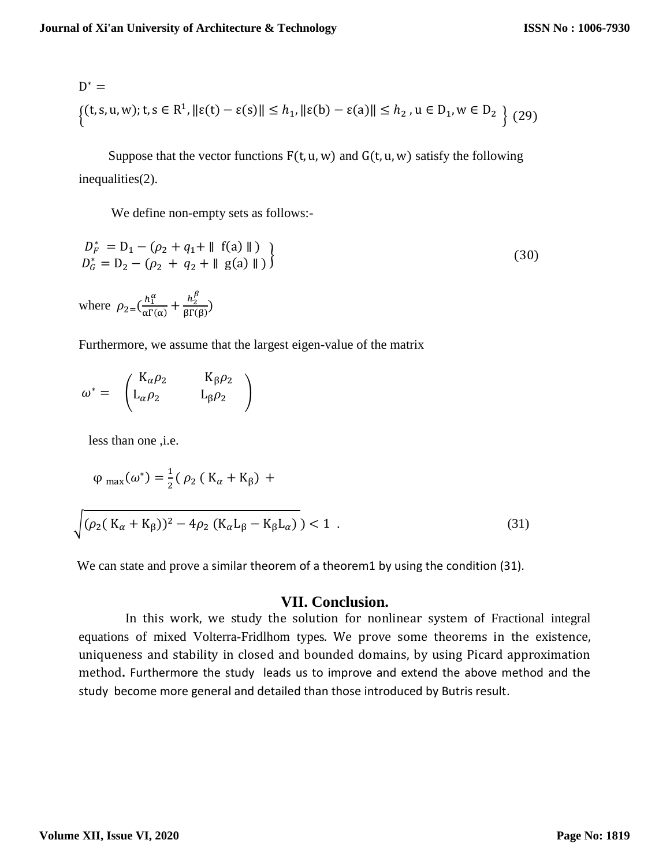$$
D^* = \{ (t, s, u, w); t, s \in \mathbb{R}^1, ||\varepsilon(t) - \varepsilon(s)|| \le h_1, ||\varepsilon(b) - \varepsilon(a)|| \le h_2, u \in D_1, w \in D_2 \}
$$
(29)

Suppose that the vector functions  $F(t, u, w)$  and  $G(t, u, w)$  satisfy the following inequalities(2).

We define non-empty sets as follows:-

$$
D_F^* = D_1 - (\rho_2 + q_1 + \| f(a) \| )
$$
  
\n
$$
D_G^* = D_2 - (\rho_2 + q_2 + \| g(a) \| )
$$
\n(30)

where  $\rho_{2} = \left(\frac{h_1^{\alpha}}{\alpha \Gamma}\right)^{\alpha}$  $\frac{h_1^{\alpha}}{\alpha \Gamma(\alpha)} + \frac{h_2^{\beta}}{\beta \Gamma(\alpha)}$  $\frac{n_2}{\beta \Gamma(\beta)}$ )

Furthermore, we assume that the largest eigen-value of the matrix

 $\omega^* =$  $K_{\alpha}\rho_2$   $K_{\beta}\rho_2$  $L_{\alpha}\rho_2$   $L_{\beta}\rho_2$  |

less than one ,i.e.

$$
\varphi_{\text{max}}(\omega^*) = \frac{1}{2} (\rho_2 (K_\alpha + K_\beta) +
$$

$$
\sqrt{(\rho_2(\mathbf{K}_{\alpha} + \mathbf{K}_{\beta}))^2 - 4\rho_2(\mathbf{K}_{\alpha}\mathbf{L}_{\beta} - \mathbf{K}_{\beta}\mathbf{L}_{\alpha})} > 1.
$$
 (31)

We can state and prove a similar theorem of a theorem1 by using the condition (31).

# **VII. Conclusion.**

In this work, we study the solution for nonlinear system of Fractional integral equations of mixed Volterra-Fridlhom types. We prove some theorems in the existence, uniqueness and stability in closed and bounded domains, by using Picard approximation method**.** Furthermore the study leads us to improve and extend the above method and the study become more general and detailed than those introduced by Butris result.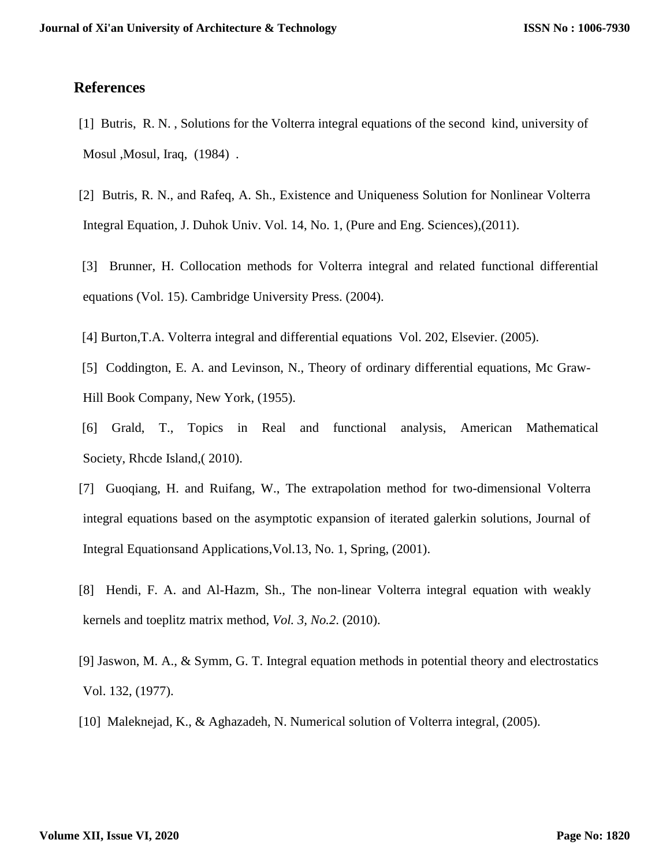# **References**

- [1] Butris, R. N. , Solutions for the Volterra integral equations of the second kind, university of Mosul, J. Traq, (1984).
- [2] Butris, R. N., and Rafeq, A. Sh., Existence and Uniqueness Solution for Nonlinear Volterra Integral Equation, J. Duhok Univ. Vol. 14, No. 1, (Pure and Eng. Sciences),(2011).
- [3] Brunner, H. Collocation methods for Volterra integral and related functional differential equations (Vol. 15). Cambridge University Press. (2004).
- [4] Burton,T.A. Volterra integral and differential equations Vol. 202, Elsevier. (2005).
- [5] Coddington, E. A. and Levinson, N., Theory of ordinary differential equations, Mc Graw-Hill Book Company, New York, (1955).
- [6] Grald, T., Topics in Real and functional analysis, American Mathematical Society, Rhcde Island,( 2010).
- [7] Guoqiang, H. and Ruifang, W., The extrapolation method for two-dimensional Volterra integral equations based on the asymptotic expansion of iterated galerkin solutions, Journal of Integral Equationsand Applications,Vol.13, No. 1, Spring, (2001).
- [8] Hendi, F. A. and Al-Hazm, Sh., The non-linear Volterra integral equation with weakly kernels and toeplitz matrix method, *Vol. 3, No.2*. (2010).
- [9] Jaswon, M. A., & Symm, G. T. Integral equation methods in potential theory and electrostatics Vol. 132, (1977).
- [10] Maleknejad, K., & Aghazadeh, N. Numerical solution of Volterra integral, (2005).